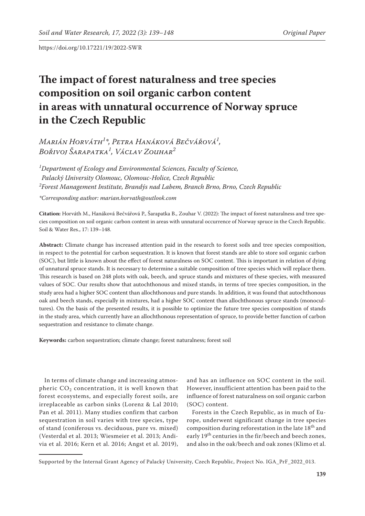# **The impact of forest naturalness and tree species composition on soil organic carbon content in areas with unnatural occurrence of Norway spruce in the Czech Republic**

*Marián Horváth1 \*, Petra Hanáková Bečvářová1 , Bořivoj Šarapatka1 , Václav Zouhar2*

*1 Department of Ecology and Environmental Sciences, Faculty of Science, Palacký University Olomouc, Olomouc-Holice, Czech Republic 2 Forest Management Institute, Brandýs nad Labem, Branch Brno, Brno, Czech Republic \*Corresponding author: marian.horvath@outlook.com*

**Citation:** Horváth M., Hanáková Bečvářová P., Šarapatka B., Zouhar V. (2022): The impact of forest naturalness and tree species composition on soil organic carbon content in areas with unnatural occurrence of Norway spruce in the Czech Republic. Soil & Water Res., 17: 139–148.

**Abstract:** Climate change has increased attention paid in the research to forest soils and tree species composition, in respect to the potential for carbon sequestration. It is known that forest stands are able to store soil organic carbon (SOC), but little is known about the effect of forest naturalness on SOC content. This is important in relation of dying of unnatural spruce stands. It is necessary to determine a suitable composition of tree species which will replace them. This research is based on 248 plots with oak, beech, and spruce stands and mixtures of these species, with measured values of SOC. Our results show that autochthonous and mixed stands, in terms of tree species composition, in the study area had a higher SOC content than allochthonous and pure stands. In addition, it was found that autochthonous oak and beech stands, especially in mixtures, had a higher SOC content than allochthonous spruce stands (monocultures). On the basis of the presented results, it is possible to optimize the future tree species composition of stands in the study area, which currently have an allochthonous representation of spruce, to provide better function of carbon sequestration and resistance to climate change.

**Keywords:** carbon sequestration; climate change; forest naturalness; forest soil

In terms of climate change and increasing atmospheric  $CO<sub>2</sub>$  concentration, it is well known that forest ecosystems, and especially forest soils, are irreplaceable as carbon sinks (Lorenz & Lal 2010; Pan et al. 2011). Many studies confirm that carbon sequestration in soil varies with tree species, type of stand (coniferous vs. deciduous, pure vs. mixed) (Vesterdal et al. 2013; Wiesmeier et al. 2013; Andivia et al. 2016; Kern et al. 2016; Angst et al. 2019),

and has an influence on SOC content in the soil. However, insufficient attention has been paid to the influence of forest naturalness on soil organic carbon (SOC) content.

Forests in the Czech Republic, as in much of Europe, underwent significant change in tree species composition during reforestation in the late  $18^{\rm th}$  and early 19<sup>th</sup> centuries in the fir/beech and beech zones, and also in the oak/beech and oak zones (Klimo et al.

Supported by the Internal Grant Agency of Palacký University, Czech Republic, Project No. IGA\_PrF\_2022\_013.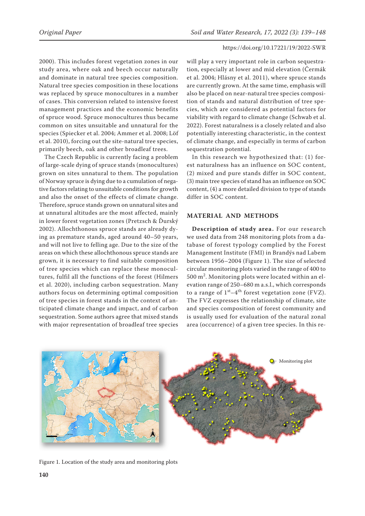2000). This includes forest vegetation zones in our study area, where oak and beech occur naturally and dominate in natural tree species composition. Natural tree species composition in these locations was replaced by spruce monocultures in a number of cases. This conversion related to intensive forest management practices and the economic benefits of spruce wood. Spruce monocultures thus became common on sites unsuitable and unnatural for the species (Spiecker et al. 2004; Ammer et al. 2008; Löf et al. 2010), forcing out the site-natural tree species, primarily beech, oak and other broadleaf trees.

The Czech Republic is currently facing a problem of large-scale dying of spruce stands (monocultures) grown on sites unnatural to them. The population of Norway spruce is dying due to a cumulation of negative factors relating to unsuitable conditions for growth and also the onset of the effects of climate change. Therefore, spruce stands grown on unnatural sites and at unnatural altitudes are the most affected, mainly in lower forest vegetation zones (Pretzsch & Ďurský 2002). Allochthonous spruce stands are already dying as premature stands, aged around 40–50 years, and will not live to felling age. Due to the size of the areas on which these allochthonous spruce stands are grown, it is necessary to find suitable composition of tree species which can replace these monocultures, fulfil all the functions of the forest (Hilmers et al. 2020), including carbon sequestration. Many authors focus on determining optimal composition of tree species in forest stands in the context of anticipated climate change and impact, and of carbon sequestration. Some authors agree that mixed stands with major representation of broadleaf tree species

will play a very important role in carbon sequestration, especially at lower and mid elevation (Čermák et al. 2004; Hlásny et al. 2011), where spruce stands are currently grown. At the same time, emphasis will also be placed on near-natural tree species composition of stands and natural distribution of tree species, which are considered as potential factors for viability with regard to climate change (Schwab et al. 2022). Forest naturalness is a closely related and also potentially interesting characteristic, in the context of climate change, and especially in terms of carbon sequestration potential.

In this research we hypothesized that: (1) forest naturalness has an influence on SOC content, (2) mixed and pure stands differ in SOC content, (3) main tree species of stand has an influence on SOC content, (4) a more detailed division to type of stands differ in SOC content.

## **MATERIAL AND METHODS**

**Description of study area.** For our research we used data from 248 monitoring plots from a database of forest typology complied by the Forest Management Institute (FMI) in Brandýs nad Labem between 1956–2004 (Figure 1). The size of selected circular monitoring plots varied in the range of 400 to 500 m<sup>2</sup> . Monitoring plots were located within an elevation range of 250–680 m a.s.l., which corresponds to a range of  $1<sup>st</sup>-4<sup>th</sup>$  forest vegetation zone (FVZ). The FVZ expresses the relationship of climate, site and species composition of forest community and is usually used for evaluation of the natural zonal area (occurrence) of a given tree species. In this re-



Figure 1. Location of the study area and monitoring plots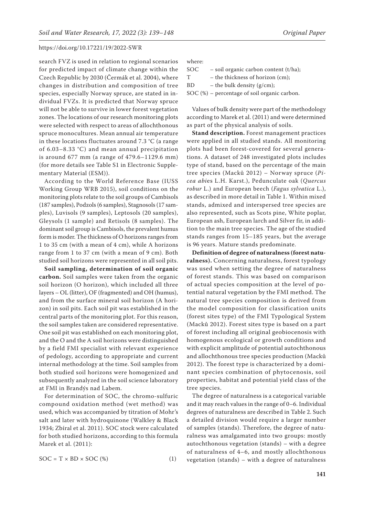search FVZ is used in relation to regional scenarios for predicted impact of climate change within the Czech Republic by 2030 (Čermák et al. 2004), where changes in distribution and composition of tree species, especially Norway spruce, are stated in individual FVZs. It is predicted that Norway spruce will not be able to survive in lower forest vegetation zones. The locations of our research monitoring plots were selected with respect to areas of allochthonous spruce monocultures. Mean annual air temperature in these locations fluctuates around 7.3 °C (a range of 6.03–8.33 °C) and mean annual precipitation is around 677 mm (a range of 479.6–1129.6 mm) (for more details see [Table S1 i](https://www.agriculturejournals.cz/publicFiles/402069.pdf)n Electronic Supplementary Material (ESM)).

According to the World Reference Base (IUSS Working Group WRB 2015), soil conditions on the monitoring plots relate to the soil groups of Cambisols (187 samples), Podzols (6 samples), Stagnosols (17 samples), Luvisols (9 samples), Leptosols (20 samples), Gleysols (1 sample) and Retisols (8 samples). The dominant soil group is Cambisols, the prevalent humus form is moder. The thickness of O horizons ranges from 1 to 35 cm (with a mean of 4 cm), while A horizons range from 1 to 37 cm (with a mean of 9 cm). Both studied soil horizons were represented in all soil pits.

**Soil sampling, determination of soil organic carbon.** Soil samples were taken from the organic soil horizon (O horizon), which included all three layers – OL (litter), OF (fragmented) and OH (humus), and from the surface mineral soil horizon (A horizon) in soil pits. Each soil pit was established in the central parts of the monitoring plot. For this reason, the soil samples taken are considered representative. One soil pit was established on each monitoring plot, and the O and the A soil horizons were distinguished by a field FMI specialist with relevant experience of pedology, according to appropriate and current internal methodology at the time. Soil samples from both studied soil horizons were homogenized and subsequently analyzed in the soil science laboratory at FMI in Brandýs nad Labem.

For determination of SOC, the chromo-sulfuric compound oxidation method (wet method) was used, which was accompanied by titration of Mohr's salt and later with hydroquinone (Walkley & Black 1934; Zbíral et al. 2011). SOC stock were calculated for both studied horizons, according to this formula Marek et al. (2011):

$$
SOC = T \times BD \times SOC \quad (*) \tag{1}
$$

where:

SOC – soil organic carbon content (t/ha);

T – the thickness of horizon (cm);

BD – the bulk density  $(g/cm)$ ;

SOC (%) – percentage of soil organic carbon.

Values of bulk density were part of the methodology according to Marek et al. (2011) and were determined as part of the physical analysis of soils.

**Stand description.** Forest management practices were applied in all studied stands. All monitoring plots had been forest-covered for several generations. A dataset of 248 investigated plots includes type of stand, based on the percentage of the main tree species (Macků 2012) – Norway spruce (*Picea abi*es L.H. Karst.), Pedunculate oak (*Quercus robur* L.) and European beech (*Fagus sylvatica* L.), as described in more detail in Table 1. Within mixed stands, admixed and interspersed tree species are also represented, such as Scots pine, White poplar, European ash, European larch and Silver fir, in addition to the main tree species. The age of the studied stands ranges from 15–185 years, but the average is 96 years. Mature stands predominate.

**Definition of degree of naturalness (forest naturalness).** Concerning naturalness, forest typology was used when setting the degree of naturalness of forest stands. This was based on comparison of actual species composition at the level of potential natural vegetation by the FMI method. The natural tree species composition is derived from the model composition for classification units (forest sites type) of the FMI Typological System (Macků 2012). Forest sites type is based on a part of forest including all original geobiocenosis with homogenous ecological or growth conditions and with explicit amplitude of potential autochthonous and allochthonous tree species production (Macků 2012). The forest type is characterized by a dominant species combination of phytocenosis, soil properties, habitat and potential yield class of the tree species.

The degree of naturalness is a categorical variable and it may reach values in the range of 0–6. Individual degrees of naturalness are described in Table 2. Such a detailed division would require a larger number of samples (stands). Therefore, the degree of naturalness was amalgamated into two groups: mostly autochthonous vegetation (stands) – with a degree of naturalness of 4–6, and mostly allochthonous vegetation (stands) – with a degree of naturalness

**141**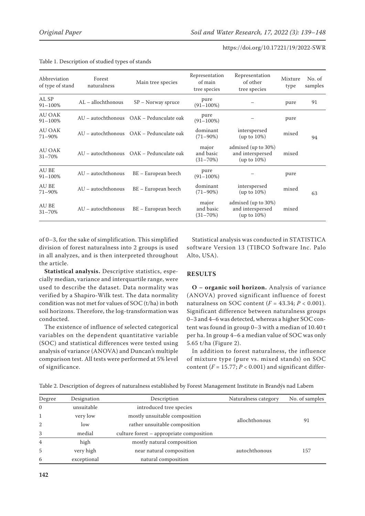| Abbreviation<br>of type of stand | Forest<br>naturalness | Main tree species                        | Representation<br>of main<br>tree species | Representation<br>of other<br>tree species                | Mixture<br>type | No. of<br>samples |
|----------------------------------|-----------------------|------------------------------------------|-------------------------------------------|-----------------------------------------------------------|-----------------|-------------------|
| AL SP<br>91-100%                 | AL – allochthonous    | $SP - Norway$ spruce                     | pure<br>$(91 - 100\%)$                    |                                                           | pure            | 91                |
| <b>AU OAK</b><br>91-100%         |                       | AU - autochthonous OAK - Pedunculate oak | pure<br>$(91 - 100\%)$                    |                                                           | pure            |                   |
| AU OAK<br>71-90%                 |                       | AU – autochthonous OAK – Pedunculate oak | dominant<br>$(71 - 90\%)$                 | interspersed<br>$(up to 10\%)$                            | mixed           | 94                |
| <b>AU OAK</b><br>$31 - 70%$      |                       | AU – autochthonous OAK – Pedunculate oak | major<br>and basic<br>$(31 - 70\%)$       | admixed (up to 30%)<br>and interspersed<br>$(up to 10\%)$ | mixed           |                   |
| <b>AU BE</b><br>91-100%          | AU - autochthonous    | BE – European beech                      | pure<br>$(91 - 100\%)$                    |                                                           | pure            |                   |
| AU BE<br>71-90%                  | AU - autochthonous    | BE – European beech                      | dominant<br>$(71 - 90\%)$                 | interspersed<br>$(up to 10\%)$                            | mixed           | 63                |
| AU BE<br>$31 - 70%$              | AU – autochthonous    | BE – European beech                      | major<br>and basic<br>$(31 - 70\%)$       | admixed (up to 30%)<br>and interspersed<br>$(up to 10\%)$ | mixed           |                   |

#### Table 1. Description of studied types of stands

of 0–3, for the sake of simplification. This simplified division of forest naturalness into 2 groups is used in all analyzes, and is then interpreted throughout the article.

**Statistical analysis.** Descriptive statistics, especially median, variance and interquartile range, were used to describe the dataset. Data normality was verified by a Shapiro-Wilk test. The data normality condition was not met for values of SOC (t/ha) in both soil horizons. Therefore, the log-transformation was conducted.

The existence of influence of selected categorical variables on the dependent quantitative variable (SOC) and statistical differences were tested using analysis of variance (ANOVA) and Duncan's multiple comparison test. All tests were performed at 5% level of significance.

Statistical analysis was conducted in STATISTICA software Version 13 (TIBCO Software Inc. Palo Alto, USA).

## **RESULTS**

**O – organic soil horizon.** Analysis of variance (ANOVA) proved significant influence of forest naturalness on SOC content  $(F = 43.34; P < 0.001)$ . Significant difference between naturalness groups 0–3 and 4–6 was detected, whereas a higher SOC content was found in group 0–3 with a median of 10.40 t per ha. In group 4–6 a median value of SOC was only 5.65 t/ha (Figure 2).

In addition to forest naturalness, the influence of mixture type (pure vs. mixed stands) on SOC content  $(F = 15.77; P < 0.001)$  and significant differ-

Table 2. Description of degrees of naturalness established by Forest Management Institute in Brandýs nad Labem

| Degree   | Designation | Description                              | Naturalness category | No. of samples |  |
|----------|-------------|------------------------------------------|----------------------|----------------|--|
| $\Omega$ | unsuitable  | introduced tree species                  |                      |                |  |
|          | very low    | mostly unsuitable composition            |                      | 91             |  |
| 2        | low         | rather unsuitable composition            | allochthonous        |                |  |
| 3        | medial      | culture forest – appropriate composition |                      |                |  |
| 4        | high        | mostly natural composition               |                      |                |  |
| 5        | very high   | near natural composition                 | autochthonous        | 157            |  |
| 6        | exceptional | natural composition                      |                      |                |  |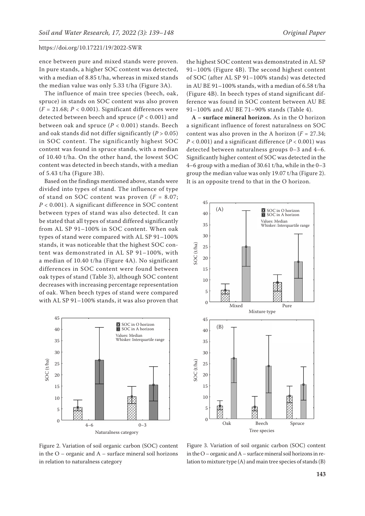ence between pure and mixed stands were proven. In pure stands, a higher SOC content was detected, with a median of 8.85 t/ha, whereas in mixed stands the median value was only 5.33 t/ha (Figure 3A).

The influence of main tree species (beech, oak, spruce) in stands on SOC content was also proven  $(F = 21.68; P < 0.001)$ . Significant differences were detected between beech and spruce (*P* < 0.001) and between oak and spruce (*P* < 0.001) stands. Beech and oak stands did not differ significantly  $(P > 0.05)$ in SOC content. The significantly highest SOC content was found in spruce stands, with a median of 10.40 t/ha. On the other hand, the lowest SOC content was detected in beech stands, with a median of 5.43 t/ha (Figure 3B).

Based on the findings mentioned above, stands were divided into types of stand. The influence of type of stand on SOC content was proven  $(F = 8.07)$ ; *P* < 0.001). A significant difference in SOC content between types of stand was also detected. It can be stated that all types of stand differed significantly from AL SP 91–100% in SOC content. When oak types of stand were compared with AL SP 91–100% stands, it was noticeable that the highest SOC content was demonstrated in AL SP 91–100%, with a median of 10.40 t/ha (Figure 4A). No significant differences in SOC content were found between oak types of stand (Table 3), although SOC content decreases with increasing percentage representation of oak. When beech types of stand were compared with AL SP 91–100% stands, it was also proven that



the highest SOC content was demonstrated in AL SP 91–100% (Figure 4B). The second highest content of SOC (after AL SP 91–100% stands) was detected in AU BE 91–100% stands, with a median of 6.58 t/ha (Figure 4B). In beech types of stand significant difference was found in SOC content between AU BE 91–100% and AU BE 71–90% stands (Table 4).

**A – surface mineral horizon.** As in the O horizon a significant influence of forest naturalness on SOC content was also proven in the A horizon  $(F = 27.34;$  $P < 0.001$ ) and a significant difference ( $P < 0.001$ ) was detected between naturalness groups 0–3 and 4–6. Significantly higher content of SOC was detected in the 4–6 group with a median of 30.61 t/ha, while in the 0–3 group the median value was only 19.07 t/ha (Figure 2). It is an opposite trend to that in the O horizon.



Figure 2. Variation of soil organic carbon (SOC) content in the O – organic and A – surface mineral soil horizons in relation to naturalness category

Figure 3. Variation of soil organic carbon (SOC) content in the O – organic and A – surface mineral soil horizons in relation to mixture type (A) and main tree species of stands (B)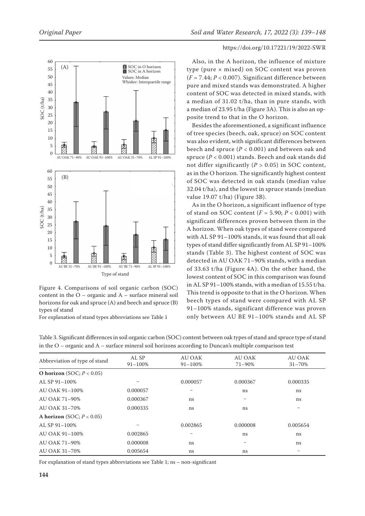

Figure 4. Comparisons of soil organic carbon (SOC) content in the  $O -$  organic and  $A -$  surface mineral soil horizons for oak and spruce (A) and beech and spruce (B) types of stand

For explanation of stand types abbreviations see Table 1

## https://doi.org/10.17221/19/2022-SWR

Also, in the A horizon, the influence of mixture type (pure × mixed) on SOC content was proven (*F* = 7.44; *P* < 0.007). Significant difference between pure and mixed stands was demonstrated. A higher content of SOC was detected in mixed stands, with a median of 31.02 t/ha, than in pure stands, with a median of 23.95 t/ha (Figure 3A). This is also an opposite trend to that in the O horizon.

Besides the aforementioned, a significant influence of tree species (beech, oak, spruce) on SOC content was also evident, with significant differences between beech and spruce (*P* < 0.001) and between oak and spruce (*P* < 0.001) stands. Beech and oak stands did not differ significantly  $(P > 0.05)$  in SOC content, as in the O horizon. The significantly highest content of SOC was detected in oak stands (median value 32.04 t/ha), and the lowest in spruce stands (median value 19.07 t/ha) (Figure 3B).

As in the O horizon, a significant influence of type of stand on SOC content (*F* = 5.90; *P* < 0.001) with significant differences proven between them in the A horizon. When oak types of stand were compared with AL SP 91–100% stands, it was found that all oak types of stand differ significantly from AL SP 91–100% stands (Table 3). The highest content of SOC was detected in AU OAK 71–90% stands, with a median of 33.63 t/ha (Figure 4A). On the other hand, the lowest content of SOC in this comparison was found in AL SP 91–100% stands, with a median of 15.55 t/ha. This trend is opposite to that in the O horizon. When beech types of stand were compared with AL SP 91–100% stands, significant difference was proven only between AU BE 91–100% stands and AL SP

| $\overline{\smile}$           |              | $\tilde{ }$   |               |               |
|-------------------------------|--------------|---------------|---------------|---------------|
| Abbreviation of type of stand | AL SP        | <b>AU OAK</b> | <b>AU OAK</b> | <b>AU OAK</b> |
|                               | $91 - 100\%$ | $91 - 100\%$  | 71-90%        | $31 - 70\%$   |
| O horizon (SOC; $P < 0.05$ )  |              |               |               |               |
| AL SP 91-100%                 |              | 0.000057      | 0.000367      | 0.000335      |
| AU OAK 91-100%                | 0.000057     |               | ns            | <sub>ns</sub> |
| AU OAK 71-90%                 | 0.000367     | ns            |               | ns            |
| AU OAK 31-70%                 | 0.000335     | ns            | ns            |               |
| A horizon (SOC; $P < 0.05$ )  |              |               |               |               |
| AL SP 91-100%                 |              | 0.002865      | 0.000008      | 0.005654      |
| AU OAK 91-100%                | 0.002865     |               | ns            | ns            |
| AU OAK 71-90%                 | 0.000008     | ns            |               | ns            |
| AU OAK 31-70%                 | 0.005654     | ns            | ns            |               |

Table 3. Significant differences in soil organic carbon (SOC) content between oak types of stand and spruce type of stand in the O – organic and A – surface mineral soil horizons according to Duncan's multiple comparison test

For explanation of stand types abbreviations see Table 1; ns – non-significant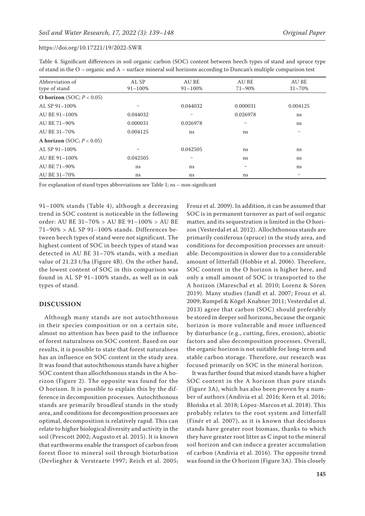| Table 4. Significant differences in soil organic carbon (SOC) content between beech types of stand and spruce type   |  |  |  |
|----------------------------------------------------------------------------------------------------------------------|--|--|--|
| of stand in the $O$ – organic and $A$ – surface mineral soil horizons according to Duncan's multiple comparison test |  |  |  |

| Abbreviation of              | AL SP       | AU BE        | AU BE       | AU BE      |
|------------------------------|-------------|--------------|-------------|------------|
| type of stand                | $91 - 100%$ | $91 - 100\%$ | $71 - 90\%$ | $31 - 70%$ |
| O horizon $(SOC; P < 0.05)$  |             |              |             |            |
| AL SP 91-100%                |             | 0.044032     | 0.000031    | 0.004125   |
| AU BE 91-100%                | 0.044032    |              | 0.026978    | ns         |
| AU BE 71-90%                 | 0.000031    | 0.026978     |             | ns         |
| AU BE 31-70%                 | 0.004125    | ns           | ns          |            |
| A horizon (SOC; $P < 0.05$ ) |             |              |             |            |
| AL SP 91-100%                |             | 0.042505     | ns          | ns         |
| AU BE 91-100%                | 0.042505    |              | ns          | ns         |
| AU BE 71-90%                 | ns          | ns           |             | ns         |
| AU BE 31-70%                 | ns          | ns           | ns          |            |

For explanation of stand types abbreviations see Table 1; ns – non-significant

91–100% stands (Table 4), although a decreasing trend in SOC content is noticeable in the following order: AU BE 31–70% > AU BE 91–100% > AU BE 71–90% > AL SP 91–100% stands. Differences between beech types of stand were not significant. The highest content of SOC in beech types of stand was detected in AU BE 31–70% stands, with a median value of 21.23 t/ha (Figure 4B). On the other hand, the lowest content of SOC in this comparison was found in AL SP 91–100% stands, as well as in oak types of stand.

#### **DISCUSSION**

Although many stands are not autochthonous in their species composition or on a certain site, almost no attention has been paid to the influence of forest naturalness on SOC content. Based on our results, it is possible to state that forest naturalness has an influence on SOC content in the study area. It was found that autochthonous stands have a higher SOC content than allochthonous stands in the A horizon (Figure 2). The opposite was found for the O horizon. It is possible to explain this by the difference in decomposition processes. Autochthonous stands are primarily broadleaf stands in the study area, and conditions for decomposition processes are optimal, decomposition is relatively rapid. This can relate to higher biological diversity and activity in the soil (Prescott 2002; Augusto et al. 2015). It is known that earthworms enable the transport of carbon from forest floor to mineral soil through bioturbation (Devliegher & Verstraete 1997; Reich et al. 2005; Frouz et al. 2009). In addition, it can be assumed that SOC is in permanent turnover as part of soil organic matter, and its sequestration is limited in the O horizon (Vesterdal et al. 2012). Allochthonous stands are primarily coniferous (spruce) in the study area, and conditions for decomposition processes are unsuitable. Decomposition is slower due to a considerable amount of litterfall (Hobbie et al. 2006). Therefore, SOC content in the O horizon is higher here, and only a small amount of SOC is transported to the A horizon (Mareschal et al. 2010; Lorenz & Sören 2019). Many studies (Jandl et al. 2007; Frouz et al. 2009; Rumpel & Kögel-Knabner 2011; Vesterdal et al. 2013) agree that carbon (SOC) should preferably be stored in deeper soil horizons, because the organic horizon is more vulnerable and more influenced by disturbance (e.g., cutting, fires, erosion), abiotic factors and also decomposition processes. Overall, the organic horizon is not suitable for long-term and stable carbon storage. Therefore, our research was focused primarily on SOC in the mineral horizon.

It was further found that mixed stands have a higher SOC content in the A horizon than pure stands (Figure 3A), which has also been proven by a number of authors (Andivia et al. 2016; Kern et al. 2016; Błońska et al. 2018; López-Marcos et al. 2018). This probably relates to the root system and litterfall (Finér et al. 2007), as it is known that deciduous stands have greater root biomass, thanks to which they have greater root litter as C input to the mineral soil horizon and can induce a greater accumulation of carbon (Andivia et al. 2016). The opposite trend was found in the O horizon (Figure 3A). This closely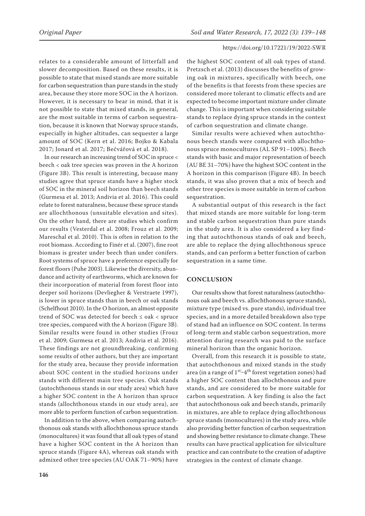relates to a considerable amount of litterfall and slower decomposition. Based on these results, it is possible to state that mixed stands are more suitable for carbon sequestration than pure stands in the study area, because they store more SOC in the A horizon. However, it is necessary to bear in mind, that it is not possible to state that mixed stands, in general, are the most suitable in terms of carbon sequestration, because it is known that Norway spruce stands, especially in higher altitudes, can sequester a large amount of SOC (Kern et al. 2016; Bojko & Kabala 2017; Jonard et al. 2017; Bečvářová et al. 2018).

In our research an increasing trend of SOC in spruce < beech < oak tree species was proven in the A horizon (Figure 3B). This result is interesting, because many studies agree that spruce stands have a higher stock of SOC in the mineral soil horizon than beech stands (Gurmesa et al. 2013; Andivia et al. 2016). This could relate to forest naturalness, because these spruce stands are allochthonous (unsuitable elevation and sites). On the other hand, there are studies which confirm our results (Vesterdal et al. 2008; Frouz et al. 2009; Mareschal et al. 2010). This is often in relation to the root biomass. According to Finér et al. (2007), fine root biomass is greater under beech than under conifers. Root systems of spruce have a preference especially for forest floors (Puhe 2003). Likewise the diversity, abundance and activity of earthworms, which are known for their incorporation of material from forest floor into deeper soil horizons (Devliegher & Verstraete 1997), is lower in spruce stands than in beech or oak stands (Schelfhout 2010). In the O horizon, an almost opposite trend of SOC was detected for beech ≤ oak < spruce tree species, compared with the A horizon (Figure 3B). Similar results were found in other studies (Frouz et al. 2009; Gurmesa et al. 2013; Andivia et al. 2016). These findings are not groundbreaking, confirming some results of other authors, but they are important for the study area, because they provide information about SOC content in the studied horizons under stands with different main tree species. Oak stands (autochthonous stands in our study area) which have a higher SOC content in the A horizon than spruce stands (allochthonous stands in our study area), are more able to perform function of carbon sequestration.

In addition to the above, when comparing autochthonous oak stands with allochthonous spruce stands (monocultures) it was found that all oak types of stand have a higher SOC content in the A horizon than spruce stands (Figure 4A), whereas oak stands with admixed other tree species (AU OAK 71–90%) have

the highest SOC content of all oak types of stand. Pretzsch et al. (2013) discusses the benefits of growing oak in mixtures, specifically with beech, one of the benefits is that forests from these species are considered more tolerant to climatic effects and are expected to become important mixture under climate change. This is important when considering suitable stands to replace dying spruce stands in the context of carbon sequestration and climate change.

Similar results were achieved when autochthonous beech stands were compared with allochthonous spruce monocultures (AL SP 91–100%). Beech stands with basic and major representation of beech (AU BE 31–70%) have the highest SOC content in the A horizon in this comparison (Figure 4B). In beech stands, it was also proven that a mix of beech and other tree species is more suitable in term of carbon sequestration.

A substantial output of this research is the fact that mixed stands are more suitable for long-term and stable carbon sequestration than pure stands in the study area. It is also considered a key finding that autochthonous stands of oak and beech, are able to replace the dying allochthonous spruce stands, and can perform a better function of carbon sequestration in a same time.

## **CONCLUSION**

Our results show that forest naturalness (autochthonous oak and beech vs. allochthonous spruce stands), mixture type (mixed vs. pure stands), individual tree species, and in a more detailed breakdown also type of stand had an influence on SOC content. In terms of long-term and stable carbon sequestration, more attention during research was paid to the surface mineral horizon than the organic horizon.

Overall, from this research it is possible to state, that autochthonous and mixed stands in the study area (in a range of  $1<sup>st</sup>-4<sup>th</sup>$  forest vegetation zones) had a higher SOC content than allochthonous and pure stands, and are considered to be more suitable for carbon sequestration. A key finding is also the fact that autochthonous oak and beech stands, primarily in mixtures, are able to replace dying allochthonous spruce stands (monocultures) in the study area, while also providing better function of carbon sequestration and showing better resistance to climate change. These results can have practical application for silviculture practice and can contribute to the creation of adaptive strategies in the context of climate change.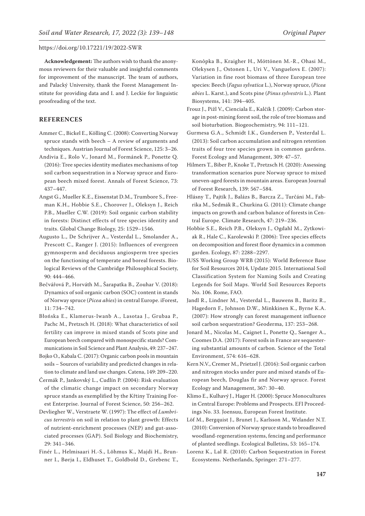**Acknowledgement:** The authors wish to thank the anonymous reviewers for their valuable and insightful comments for improvement of the manuscript. The team of authors, and Palacký University, thank the Forest Management Institute for providing data and I. and J. Leckie for linguistic proofreading of the text.

# **REFERENCES**

- Ammer C., Bickel E., Kölling C. (2008): Converting Norway spruce stands with beech – A review of arguments and techniques. Austrian Journal of Forest Science, 125: 3–26.
- Andivia E., Rolo V., Jonard M., Formánek P., Ponette Q. (2016): Tree species identity mediates mechanisms of top soil carbon sequestration in a Norway spruce and European beech mixed forest. Annals of Forest Science, 73: 437–447.
- Angst G., Mueller K.E., Eissenstat D.M., Trumbore S., Freeman K.H., Hobbie S.E., Chorover J., Oleksyn J., Reich P.B., Mueller C.W. (2019): Soil organic carbon stability in forests: Distinct effects of tree species identity and traits. Global Change Biology, 25: 1529–1546.
- Augusto L., De Schrijver A., Vesterdal L., Smolander A., Prescott C., Ranger J. (2015): Influences of evergreen gymnosperm and deciduous angiosperm tree species on the functioning of temperate and boreal forests. Biological Reviews of the Cambridge Philosophical Society, 90: 444–466.
- Bečvářová P., Horváth M., Šarapatka B., Zouhar V. (2018): Dynamics of soil organic carbon (SOC) content in stands of Norway spruce (*Picea abies*) in central Europe. iForest, 11: 734–742.
- Błońska E., Klamerus-Iwanb A., Lasotaa J., Grubaa P., Pachc M., Pretzsch H. (2018): What characteristics of soil fertility can improve in mixed stands of Scots pine and European beech compared with monospecific stands? Communications in Soil Science and Plant Analysis, 49: 237–247.
- Bojko O., Kabala C. (2017): Organic carbon pools in mountain soils – Sources of variability and predicted changes in relation to climate and land use changes. Catena, 149: 209–220.
- Čermák P., Jankovský L., Cudlín P. (2004): Risk evaluation of the climatic change impact on secondary Norway spruce stands as exemplified by the Křtiny Training Forest Enterprise. Journal of Forest Science, 50: 256–262.
- Devliegher W., Verstraete W. (1997): The effect of *Lumbricus terrestris* on soil in relation to plant growth: Effects of nutrient-enrichment processes (NEP) and gut-associated processes (GAP). Soil Biology and Biochemistry, 29: 341–346.
- Finér L., Helmisaari H.-S., Lõhmus K., Majdi H., Brunner I., Børja I., Eldhuset T., Goldbold D., Grebenc T.,

Konôpka B., Kraigher H., Möttönen M.-R., Ohasi M., Olekysen J., Ostonen I., Uri V., Vanguelovs E. (2007): Variation in fine root biomass of three European tree species: Beech (*Fagus sylvatica* L.), Norway spruce, (*Picea abies* L. Karst.), and Scots pine (*Pinus sylvestris* L.). Plant Biosystems, 141: 394–405.

- Frouz J., Pižl V., Cienciala E., Kalčík J. (2009): Carbon storage in post-mining forest soil, the role of tree biomass and soil bioturbation. Biogeochemistry, 94: 111–121.
- Gurmesa G.A., Schmidt I.K., Gundersen P., Vesterdal L. (2013): Soil carbon accumulation and nitrogen retention traits of four tree species grown in common gardens. Forest Ecology and Management, 309: 47–57.
- Hilmers T., Biber P., Knoke T., Pretzsch H. (2020): Assessing transformation scenarios pure Norway spruce to mixed uneven-aged forests in mountain areas. European Journal of Forest Research, 139: 567–584.
- Hlásny T., Pajtík J., Balázs B., Barcza Z., Turčáni M., Fabrika M., Sedmák R., Churkina G. (2011): Climate change impacts on growth and carbon balance of forests in Central Europe. Climate Research, 47: 219–236.
- Hobbie S.E., Reich P.B., Oleksyn J., Ogdahl M., Zytkowiak R., Hale C., Karolewski P. (2006): Tree species effects on decomposition and forest floor dynamics in a common garden. Ecology, 87: 2288–2297.
- IUSS Working Group WRB (2015): World Reference Base for Soil Resources 2014, Update 2015. International Soil Classification System for Naming Soils and Creating Legends for Soil Maps. World Soil Resources Reports No. 106. Rome, FAO.
- Jandl R., Lindner M., Vesterdal L., Bauwens B., Baritz R., Hagedorn F., Johnson D.W., Minkkinen K., Byrne K.A. (2007): How strongly can forest management influence soil carbon sequestration? Geoderma, 137: 253–268.
- Jonard M., Nicolas M., Caignet I., Ponette Q., Saenger A., Coomes D.A. (2017): Forest soils in France are sequestering substantial amounts of carbon. Science of the Total Environment, 574: 616–628.
- Kern N.V., Cremer M., Prietzel J. (2016): Soil organic carbon and nitrogen stocks under pure and mixed stands of European beech, Douglas fir and Norway spruce. Forest Ecology and Management, 367: 30–40.
- Klimo E., Kulhavý J., Hager H. (2000): Spruce Monocultures in Central Europe: Problems and Prospects. EFI Proceedings No. 33. Joensuu, European Forest Institute.
- Löf M., Bergquist J., Brunet J., Karlsson M., Welander N.T. (2010): Conversion of Norway spruce stands to broadleaved woodland-regeneration systems, fencing and performance of planted seedlings. Ecological Bulletins, 53: 165–174.
- Lorenz K., Lal R. (2010): Carbon Sequestration in Forest Ecosystems. Netherlands, Springer: 271–277.